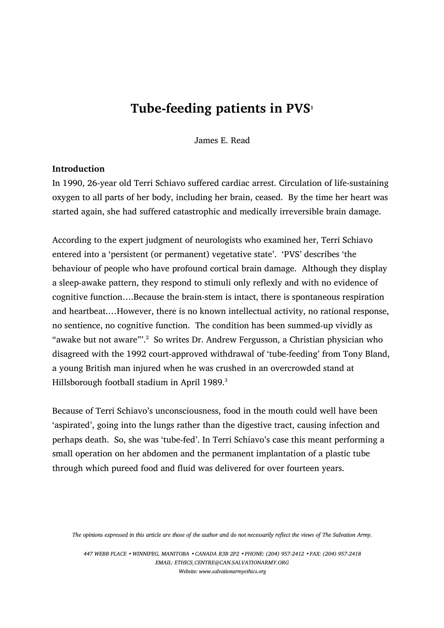# Tube-feeding patients in  $PVS<sub>1</sub>$

James E. Read

## Introduction

In 1990, 26-year old Terri Schiavo suffered cardiac arrest. Circulation of life-sustaining oxygen to all parts of her body, including her brain, ceased. By the time her heart was started again, she had suffered catastrophic and medically irreversible brain damage.

According to the expert judgment of neurologists who examined her, Terri Schiavo entered into a 'persistent (or permanent) vegetative state'. 'PVS' describes 'the behaviour of people who have profound cortical brain damage. Although they display a sleep-awake pattern, they respond to stimuli only reflexly and with no evidence of cognitive function….Because the brain-stem is intact, there is spontaneous respiration and heartbeat.…However, there is no known intellectual activity, no rational response, no sentience, no cognitive function. The condition has been summed-up vividly as "awake but not aware"'.<sup>2</sup> So writes Dr. Andrew Fergusson, a Christian physician who disagreed with the 1992 court-approved withdrawal of 'tube-feeding' from Tony Bland, a young British man injured when he was crushed in an overcrowded stand at Hillsborough football stadium in April 1989.<sup>3</sup>

Because of Terri Schiavo's unconsciousness, food in the mouth could well have been 'aspirated', going into the lungs rather than the digestive tract, causing infection and perhaps death. So, she was 'tube-fed'. In Terri Schiavo's case this meant performing a small operation on her abdomen and the permanent implantation of a plastic tube through which pureed food and fluid was delivered for over fourteen years.

The opinions expressed in this article are those of the author and do not necessarily reflect the views of The Salvation Army.

447 WEBB PLACE WINNIPEG, MANITOBA CANADA R3B 2P2 PHONE: (204) 957-2412 FAX: (204) 957-2418 EMAIL: ETHICS\_CENTRE@CAN.SALVATIONARMY.ORG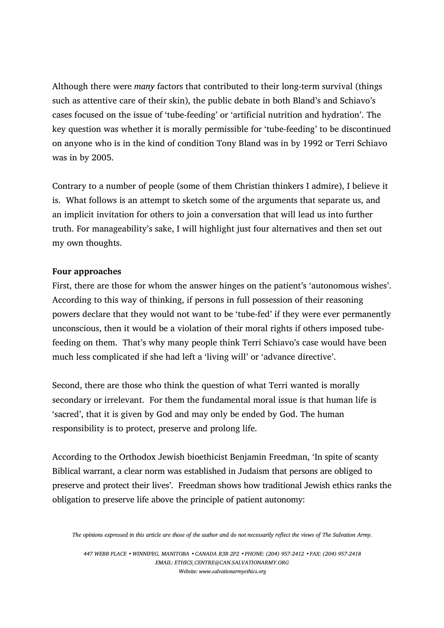Although there were many factors that contributed to their long-term survival (things such as attentive care of their skin), the public debate in both Bland's and Schiavo's cases focused on the issue of 'tube-feeding' or 'artificial nutrition and hydration'. The key question was whether it is morally permissible for 'tube-feeding' to be discontinued on anyone who is in the kind of condition Tony Bland was in by 1992 or Terri Schiavo was in by 2005.

Contrary to a number of people (some of them Christian thinkers I admire), I believe it is. What follows is an attempt to sketch some of the arguments that separate us, and an implicit invitation for others to join a conversation that will lead us into further truth. For manageability's sake, I will highlight just four alternatives and then set out my own thoughts.

# Four approaches

First, there are those for whom the answer hinges on the patient's 'autonomous wishes'. According to this way of thinking, if persons in full possession of their reasoning powers declare that they would not want to be 'tube-fed' if they were ever permanently unconscious, then it would be a violation of their moral rights if others imposed tubefeeding on them. That's why many people think Terri Schiavo's case would have been much less complicated if she had left a 'living will' or 'advance directive'.

Second, there are those who think the question of what Terri wanted is morally secondary or irrelevant. For them the fundamental moral issue is that human life is 'sacred', that it is given by God and may only be ended by God. The human responsibility is to protect, preserve and prolong life.

According to the Orthodox Jewish bioethicist Benjamin Freedman, 'In spite of scanty Biblical warrant, a clear norm was established in Judaism that persons are obliged to preserve and protect their lives'. Freedman shows how traditional Jewish ethics ranks the obligation to preserve life above the principle of patient autonomy:

447 WEBB PLACE WINNIPEG, MANITOBA CANADA R3B 2P2 PHONE: (204) 957-2412 FAX: (204) 957-2418 EMAIL: ETHICS\_CENTRE@CAN.SALVATIONARMY.ORG Website: www.salvationarmyethics.org

The opinions expressed in this article are those of the author and do not necessarily reflect the views of The Salvation Army.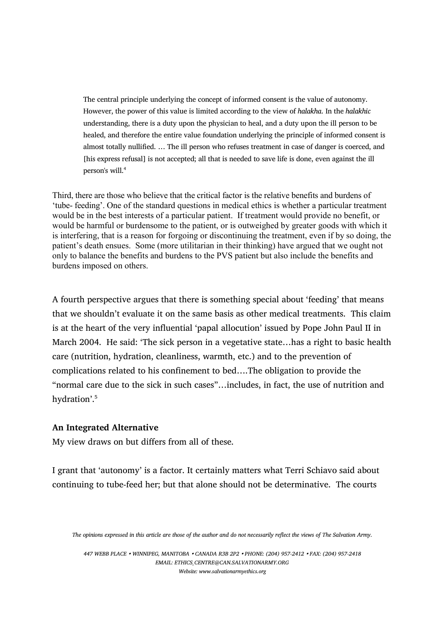The central principle underlying the concept of informed consent is the value of autonomy. However, the power of this value is limited according to the view of halakha. In the halakhic understanding, there is a duty upon the physician to heal, and a duty upon the ill person to be healed, and therefore the entire value foundation underlying the principle of informed consent is almost totally nullified. … The ill person who refuses treatment in case of danger is coerced, and [his express refusal] is not accepted; all that is needed to save life is done, even against the ill person's will.<sup>4</sup>

Third, there are those who believe that the critical factor is the relative benefits and burdens of 'tube- feeding'. One of the standard questions in medical ethics is whether a particular treatment would be in the best interests of a particular patient. If treatment would provide no benefit, or would be harmful or burdensome to the patient, or is outweighed by greater goods with which it is interfering, that is a reason for forgoing or discontinuing the treatment, even if by so doing, the patient's death ensues. Some (more utilitarian in their thinking) have argued that we ought not only to balance the benefits and burdens to the PVS patient but also include the benefits and burdens imposed on others.

A fourth perspective argues that there is something special about 'feeding' that means that we shouldn't evaluate it on the same basis as other medical treatments. This claim is at the heart of the very influential 'papal allocution' issued by Pope John Paul II in March 2004. He said: 'The sick person in a vegetative state…has a right to basic health care (nutrition, hydration, cleanliness, warmth, etc.) and to the prevention of complications related to his confinement to bed….The obligation to provide the "normal care due to the sick in such cases"…includes, in fact, the use of nutrition and hydration'.<sup>5</sup>

## An Integrated Alternative

My view draws on but differs from all of these.

I grant that 'autonomy' is a factor. It certainly matters what Terri Schiavo said about continuing to tube-feed her; but that alone should not be determinative. The courts

447 WEBB PLACE WINNIPEG, MANITOBA CANADA R3B 2P2 PHONE: (204) 957-2412 FAX: (204) 957-2418 EMAIL: ETHICS\_CENTRE@CAN.SALVATIONARMY.ORG

The opinions expressed in this article are those of the author and do not necessarily reflect the views of The Salvation Army.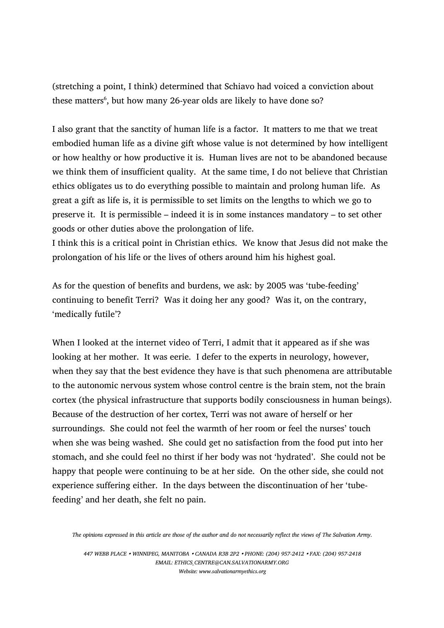(stretching a point, I think) determined that Schiavo had voiced a conviction about these matters<sup>6</sup>, but how many 26-year olds are likely to have done so?

I also grant that the sanctity of human life is a factor. It matters to me that we treat embodied human life as a divine gift whose value is not determined by how intelligent or how healthy or how productive it is. Human lives are not to be abandoned because we think them of insufficient quality. At the same time, I do not believe that Christian ethics obligates us to do everything possible to maintain and prolong human life. As great a gift as life is, it is permissible to set limits on the lengths to which we go to preserve it. It is permissible – indeed it is in some instances mandatory – to set other goods or other duties above the prolongation of life.

I think this is a critical point in Christian ethics. We know that Jesus did not make the prolongation of his life or the lives of others around him his highest goal.

As for the question of benefits and burdens, we ask: by 2005 was 'tube-feeding' continuing to benefit Terri? Was it doing her any good? Was it, on the contrary, 'medically futile'?

When I looked at the internet video of Terri, I admit that it appeared as if she was looking at her mother. It was eerie. I defer to the experts in neurology, however, when they say that the best evidence they have is that such phenomena are attributable to the autonomic nervous system whose control centre is the brain stem, not the brain cortex (the physical infrastructure that supports bodily consciousness in human beings). Because of the destruction of her cortex, Terri was not aware of herself or her surroundings. She could not feel the warmth of her room or feel the nurses' touch when she was being washed. She could get no satisfaction from the food put into her stomach, and she could feel no thirst if her body was not 'hydrated'. She could not be happy that people were continuing to be at her side. On the other side, she could not experience suffering either. In the days between the discontinuation of her 'tubefeeding' and her death, she felt no pain.

The opinions expressed in this article are those of the author and do not necessarily reflect the views of The Salvation Army.

447 WEBB PLACE WINNIPEG, MANITOBA CANADA R3B 2P2 PHONE: (204) 957-2412 FAX: (204) 957-2418 EMAIL: ETHICS\_CENTRE@CAN.SALVATIONARMY.ORG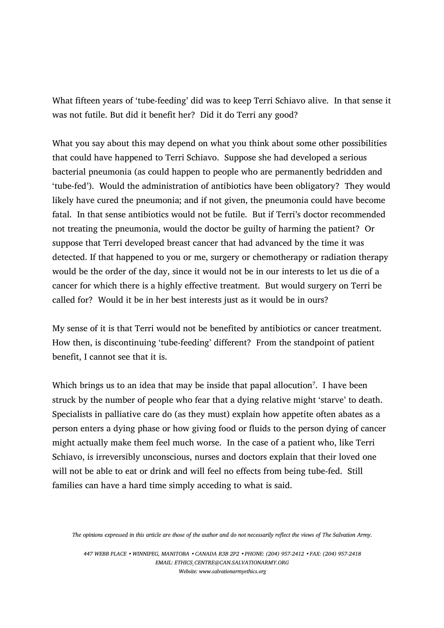What fifteen years of 'tube-feeding' did was to keep Terri Schiavo alive. In that sense it was not futile. But did it benefit her? Did it do Terri any good?

What you say about this may depend on what you think about some other possibilities that could have happened to Terri Schiavo. Suppose she had developed a serious bacterial pneumonia (as could happen to people who are permanently bedridden and 'tube-fed'). Would the administration of antibiotics have been obligatory? They would likely have cured the pneumonia; and if not given, the pneumonia could have become fatal. In that sense antibiotics would not be futile. But if Terri's doctor recommended not treating the pneumonia, would the doctor be guilty of harming the patient? Or suppose that Terri developed breast cancer that had advanced by the time it was detected. If that happened to you or me, surgery or chemotherapy or radiation therapy would be the order of the day, since it would not be in our interests to let us die of a cancer for which there is a highly effective treatment. But would surgery on Terri be called for? Would it be in her best interests just as it would be in ours?

My sense of it is that Terri would not be benefited by antibiotics or cancer treatment. How then, is discontinuing 'tube-feeding' different? From the standpoint of patient benefit, I cannot see that it is.

Which brings us to an idea that may be inside that papal allocution<sup>7</sup>. I have been struck by the number of people who fear that a dying relative might 'starve' to death. Specialists in palliative care do (as they must) explain how appetite often abates as a person enters a dying phase or how giving food or fluids to the person dying of cancer might actually make them feel much worse. In the case of a patient who, like Terri Schiavo, is irreversibly unconscious, nurses and doctors explain that their loved one will not be able to eat or drink and will feel no effects from being tube-fed. Still families can have a hard time simply acceding to what is said.

The opinions expressed in this article are those of the author and do not necessarily reflect the views of The Salvation Army.

447 WEBB PLACE WINNIPEG, MANITOBA CANADA R3B 2P2 PHONE: (204) 957-2412 FAX: (204) 957-2418 EMAIL: ETHICS\_CENTRE@CAN.SALVATIONARMY.ORG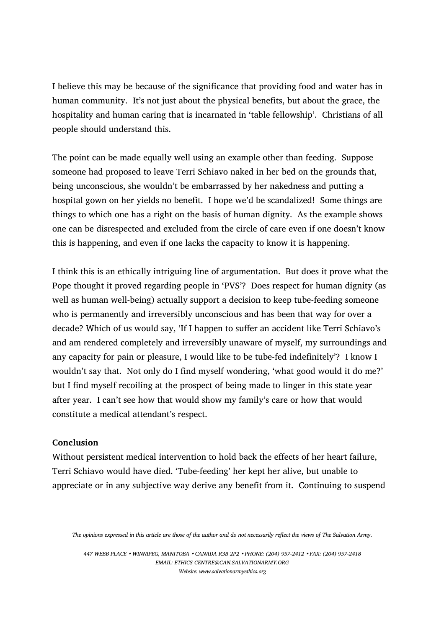I believe this may be because of the significance that providing food and water has in human community. It's not just about the physical benefits, but about the grace, the hospitality and human caring that is incarnated in 'table fellowship'. Christians of all people should understand this.

The point can be made equally well using an example other than feeding. Suppose someone had proposed to leave Terri Schiavo naked in her bed on the grounds that, being unconscious, she wouldn't be embarrassed by her nakedness and putting a hospital gown on her yields no benefit. I hope we'd be scandalized! Some things are things to which one has a right on the basis of human dignity. As the example shows one can be disrespected and excluded from the circle of care even if one doesn't know this is happening, and even if one lacks the capacity to know it is happening.

I think this is an ethically intriguing line of argumentation. But does it prove what the Pope thought it proved regarding people in 'PVS'? Does respect for human dignity (as well as human well-being) actually support a decision to keep tube-feeding someone who is permanently and irreversibly unconscious and has been that way for over a decade? Which of us would say, 'If I happen to suffer an accident like Terri Schiavo's and am rendered completely and irreversibly unaware of myself, my surroundings and any capacity for pain or pleasure, I would like to be tube-fed indefinitely'? I know I wouldn't say that. Not only do I find myself wondering, 'what good would it do me?' but I find myself recoiling at the prospect of being made to linger in this state year after year. I can't see how that would show my family's care or how that would constitute a medical attendant's respect.

## Conclusion

Without persistent medical intervention to hold back the effects of her heart failure, Terri Schiavo would have died. 'Tube-feeding' her kept her alive, but unable to appreciate or in any subjective way derive any benefit from it. Continuing to suspend

447 WEBB PLACE WINNIPEG, MANITOBA CANADA R3B 2P2 PHONE: (204) 957-2412 FAX: (204) 957-2418 EMAIL: ETHICS\_CENTRE@CAN.SALVATIONARMY.ORG

The opinions expressed in this article are those of the author and do not necessarily reflect the views of The Salvation Army.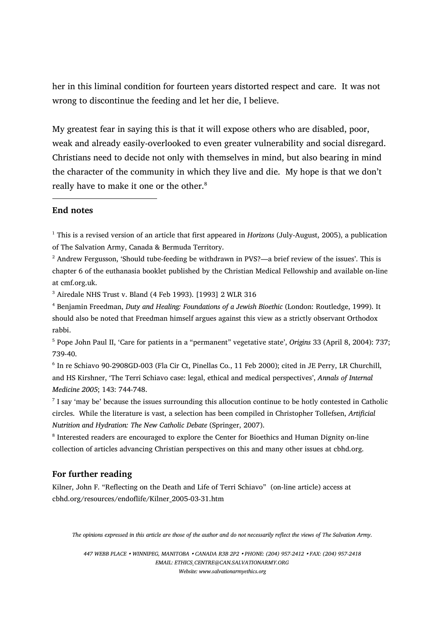her in this liminal condition for fourteen years distorted respect and care. It was not wrong to discontinue the feeding and let her die, I believe.

My greatest fear in saying this is that it will expose others who are disabled, poor, weak and already easily-overlooked to even greater vulnerability and social disregard. Christians need to decide not only with themselves in mind, but also bearing in mind the character of the community in which they live and die. My hope is that we don't really have to make it one or the other.<sup>8</sup>

#### End notes

 $\overline{a}$ 

<sup>1</sup> This is a revised version of an article that first appeared in *Horizons* (July-August, 2005), a publication of The Salvation Army, Canada & Bermuda Territory.

<sup>2</sup> Andrew Fergusson, 'Should tube-feeding be withdrawn in PVS?—a brief review of the issues'. This is chapter 6 of the euthanasia booklet published by the Christian Medical Fellowship and available on-line at cmf.org.uk.

3 Airedale NHS Trust v. Bland (4 Feb 1993). [1993] 2 WLR 316

<sup>4</sup> Benjamin Freedman, Duty and Healing: Foundations of a Jewish Bioethic (London: Routledge, 1999). It should also be noted that Freedman himself argues against this view as a strictly observant Orthodox rabbi.

<sup>5</sup> Pope John Paul II, 'Care for patients in a "permanent" vegetative state', Origins 33 (April 8, 2004): 737; 739-40.

6 In re Schiavo 90-2908GD-003 (Fla Cir Ct, Pinellas Co., 11 Feb 2000); cited in JE Perry, LR Churchill, and HS Kirshner, 'The Terri Schiavo case: legal, ethical and medical perspectives', Annals of Internal Medicine 2005; 143: 744-748.

7 I say 'may be' because the issues surrounding this allocution continue to be hotly contested in Catholic circles. While the literature is vast, a selection has been compiled in Christopher Tollefsen, Artificial Nutrition and Hydration: The New Catholic Debate (Springer, 2007).

<sup>8</sup> Interested readers are encouraged to explore the Center for Bioethics and Human Dignity on-line collection of articles advancing Christian perspectives on this and many other issues at cbhd.org.

#### For further reading

Kilner, John F. "Reflecting on the Death and Life of Terri Schiavo" (on-line article) access at cbhd.org/resources/endoflife/Kilner\_2005-03-31.htm

The opinions expressed in this article are those of the author and do not necessarily reflect the views of The Salvation Army.

447 WEBB PLACE WINNIPEG, MANITOBA CANADA R3B 2P2 PHONE: (204) 957-2412 FAX: (204) 957-2418 EMAIL: ETHICS\_CENTRE@CAN.SALVATIONARMY.ORG